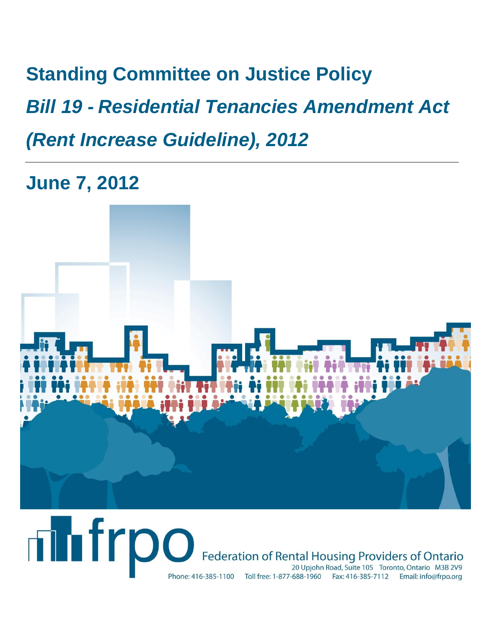**Standing Committee on Justice Policy** *Bill 19 - Residential Tenancies Amendment Act (Rent Increase Guideline), 2012*

**June 7, 2012**



# **Thirpo** Federation of Rental Housing Providers of Ontario 20 Upjohn Road, Suite 105 Toronto, Ontario M3B 2V9 Phone: 416-385-1100 Toll free: 1-877-688-1960 Fax: 416-385-7112 Email: info@frpo.org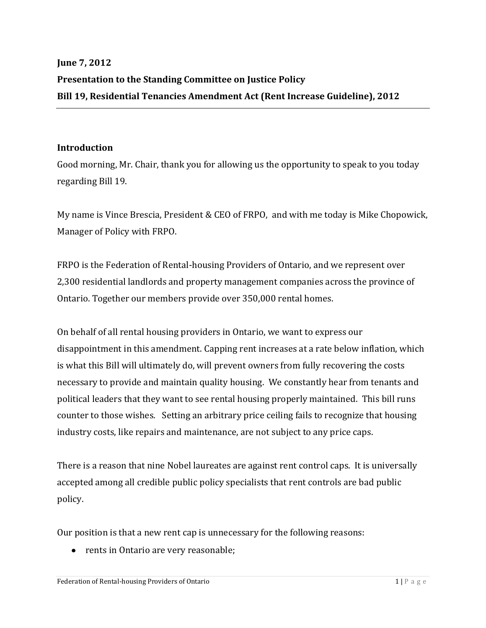# **June 7, 2012 Presentation to the Standing Committee on Justice Policy Bill 19, Residential Tenancies Amendment Act (Rent Increase Guideline), 2012**

#### **Introduction**

Good morning, Mr. Chair, thank you for allowing us the opportunity to speak to you today regarding Bill 19.

My name is Vince Brescia, President & CEO of FRPO, and with me today is Mike Chopowick, Manager of Policy with FRPO.

FRPO is the Federation of Rental-housing Providers of Ontario, and we represent over 2,300 residential landlords and property management companies across the province of Ontario. Together our members provide over 350,000 rental homes.

On behalf of all rental housing providers in Ontario, we want to express our disappointment in this amendment. Capping rent increases at a rate below inflation, which is what this Bill will ultimately do, will prevent owners from fully recovering the costs necessary to provide and maintain quality housing. We constantly hear from tenants and political leaders that they want to see rental housing properly maintained. This bill runs counter to those wishes. Setting an arbitrary price ceiling fails to recognize that housing industry costs, like repairs and maintenance, are not subject to any price caps.

There is a reason that nine Nobel laureates are against rent control caps. It is universally accepted among all credible public policy specialists that rent controls are bad public policy.

Our position is that a new rent cap is unnecessary for the following reasons:

• rents in Ontario are very reasonable;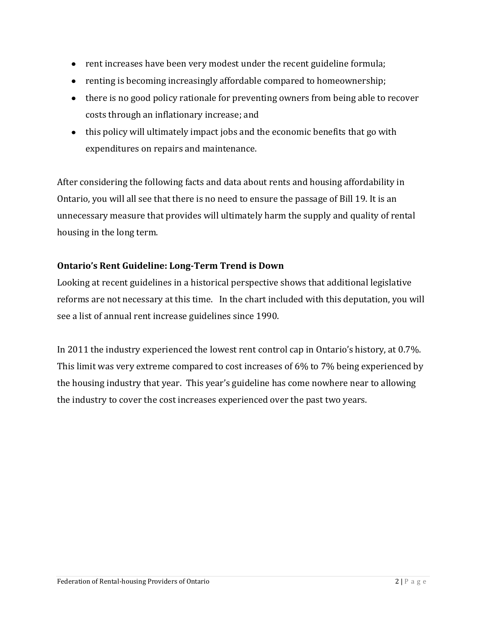- rent increases have been very modest under the recent guideline formula;
- renting is becoming increasingly affordable compared to homeownership;
- there is no good policy rationale for preventing owners from being able to recover costs through an inflationary increase; and
- this policy will ultimately impact jobs and the economic benefits that go with expenditures on repairs and maintenance.

After considering the following facts and data about rents and housing affordability in Ontario, you will all see that there is no need to ensure the passage of Bill 19. It is an unnecessary measure that provides will ultimately harm the supply and quality of rental housing in the long term.

## **Ontario's Rent Guideline: Long-Term Trend is Down**

Looking at recent guidelines in a historical perspective shows that additional legislative reforms are not necessary at this time. In the chart included with this deputation, you will see a list of annual rent increase guidelines since 1990.

In 2011 the industry experienced the lowest rent control cap in Ontario's history, at 0.7%. This limit was very extreme compared to cost increases of 6% to 7% being experienced by the housing industry that year. This year's guideline has come nowhere near to allowing the industry to cover the cost increases experienced over the past two years.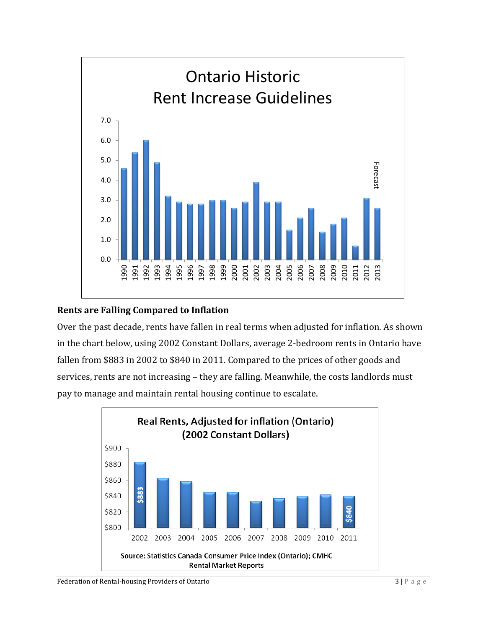

#### **Rents are Falling Compared to Inflation**

Over the past decade, rents have fallen in real terms when adjusted for inflation. As shown in the chart below, using 2002 Constant Dollars, average 2-bedroom rents in Ontario have fallen from \$883 in 2002 to \$840 in 2011. Compared to the prices of other goods and services, rents are not increasing – they are falling. Meanwhile, the costs landlords must pay to manage and maintain rental housing continue to escalate.

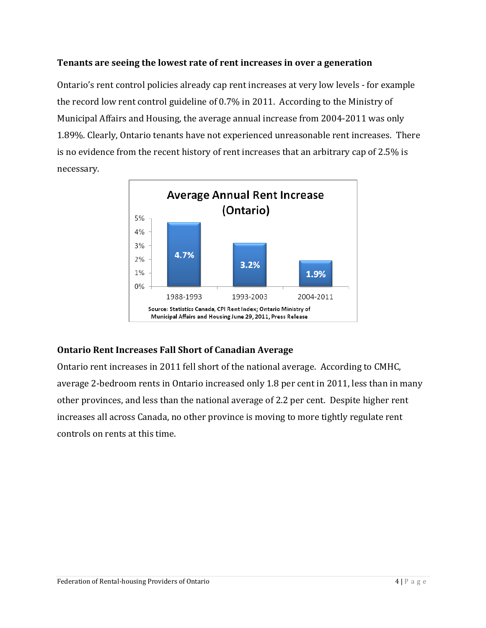#### **Tenants are seeing the lowest rate of rent increases in over a generation**

Ontario's rent control policies already cap rent increases at very low levels - for example the record low rent control guideline of 0.7% in 2011. According to the Ministry of Municipal Affairs and Housing, the average annual increase from 2004-2011 was only 1.89%. Clearly, Ontario tenants have not experienced unreasonable rent increases. There is no evidence from the recent history of rent increases that an arbitrary cap of 2.5% is necessary.



#### **Ontario Rent Increases Fall Short of Canadian Average**

Ontario rent increases in 2011 fell short of the national average. According to CMHC, average 2-bedroom rents in Ontario increased only 1.8 per cent in 2011, less than in many other provinces, and less than the national average of 2.2 per cent. Despite higher rent increases all across Canada, no other province is moving to more tightly regulate rent controls on rents at this time.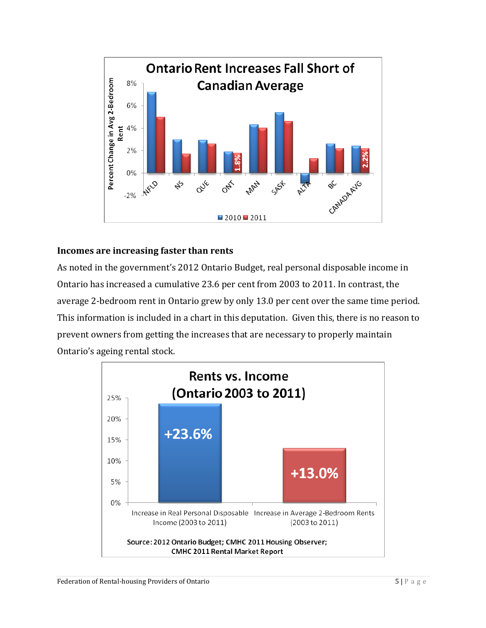

#### **Incomes are increasing faster than rents**

As noted in the government's 2012 Ontario Budget, real personal disposable income in Ontario has increased a cumulative 23.6 per cent from 2003 to 2011. In contrast, the average 2-bedroom rent in Ontario grew by only 13.0 per cent over the same time period. This information is included in a chart in this deputation. Given this, there is no reason to prevent owners from getting the increases that are necessary to properly maintain Ontario's ageing rental stock.

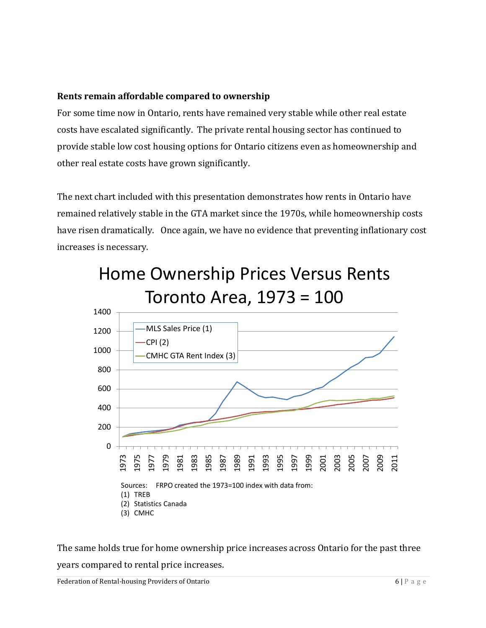#### **Rents remain affordable compared to ownership**

For some time now in Ontario, rents have remained very stable while other real estate costs have escalated significantly. The private rental housing sector has continued to provide stable low cost housing options for Ontario citizens even as homeownership and other real estate costs have grown significantly.

The next chart included with this presentation demonstrates how rents in Ontario have remained relatively stable in the GTA market since the 1970s, while homeownership costs have risen dramatically. Once again, we have no evidence that preventing inflationary cost increases is necessary.

Home Ownership Prices Versus Rents



The same holds true for home ownership price increases across Ontario for the past three years compared to rental price increases.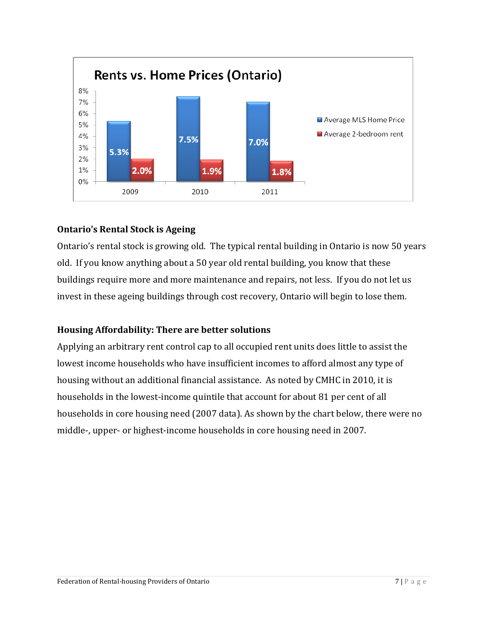

## **Ontario's Rental Stock is Ageing**

Ontario's rental stock is growing old. The typical rental building in Ontario is now 50 years old. If you know anything about a 50 year old rental building, you know that these buildings require more and more maintenance and repairs, not less. If you do not let us invest in these ageing buildings through cost recovery, Ontario will begin to lose them.

#### **Housing Affordability: There are better solutions**

Applying an arbitrary rent control cap to all occupied rent units does little to assist the lowest income households who have insufficient incomes to afford almost any type of housing without an additional financial assistance. As noted by CMHC in 2010, it is households in the lowest-income quintile that account for about 81 per cent of all households in core housing need (2007 data). As shown by the chart below, there were no middle-, upper- or highest-income households in core housing need in 2007.